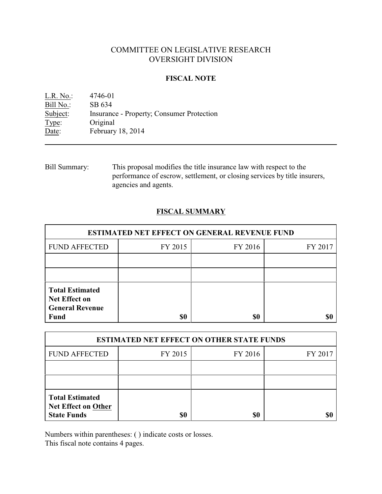# COMMITTEE ON LEGISLATIVE RESEARCH OVERSIGHT DIVISION

### **FISCAL NOTE**

L.R. No.: 4746-01 Bill No.: SB 634<br>Subject: Insurance Insurance - Property; Consumer Protection Type: Original Date: February 18, 2014

Bill Summary: This proposal modifies the title insurance law with respect to the performance of escrow, settlement, or closing services by title insurers, agencies and agents.

### **FISCAL SUMMARY**

| <b>ESTIMATED NET EFFECT ON GENERAL REVENUE FUND</b> |         |         |  |  |
|-----------------------------------------------------|---------|---------|--|--|
| FY 2015                                             | FY 2016 | FY 2017 |  |  |
|                                                     |         |         |  |  |
|                                                     |         |         |  |  |
|                                                     |         |         |  |  |
|                                                     | \$0     | \$0     |  |  |

| <b>ESTIMATED NET EFFECT ON OTHER STATE FUNDS</b>                           |         |         |         |  |
|----------------------------------------------------------------------------|---------|---------|---------|--|
| <b>FUND AFFECTED</b>                                                       | FY 2015 | FY 2016 | FY 2017 |  |
|                                                                            |         |         |         |  |
|                                                                            |         |         |         |  |
| <b>Total Estimated</b><br><b>Net Effect on Other</b><br><b>State Funds</b> | \$0     | \$0     |         |  |

Numbers within parentheses: ( ) indicate costs or losses.

This fiscal note contains 4 pages.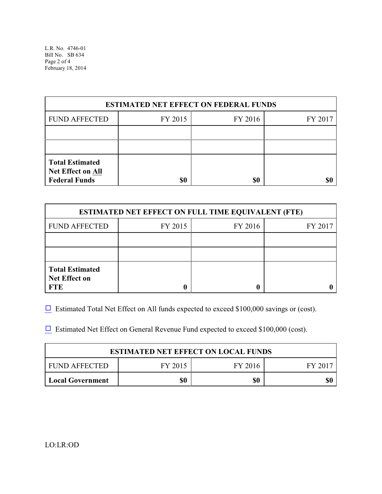L.R. No. 4746-01 Bill No. SB 634 Page 2 of 4 February 18, 2014

| <b>ESTIMATED NET EFFECT ON FEDERAL FUNDS</b>                        |         |         |         |  |
|---------------------------------------------------------------------|---------|---------|---------|--|
| <b>FUND AFFECTED</b>                                                | FY 2015 | FY 2016 | FY 2017 |  |
|                                                                     |         |         |         |  |
|                                                                     |         |         |         |  |
| <b>Total Estimated</b><br>Net Effect on All<br><b>Federal Funds</b> | \$0     | \$0     |         |  |

| <b>ESTIMATED NET EFFECT ON FULL TIME EQUIVALENT (FTE)</b>    |         |         |         |  |
|--------------------------------------------------------------|---------|---------|---------|--|
| <b>FUND AFFECTED</b>                                         | FY 2015 | FY 2016 | FY 2017 |  |
|                                                              |         |         |         |  |
|                                                              |         |         |         |  |
| <b>Total Estimated</b><br><b>Net Effect on</b><br><b>FTE</b> |         |         |         |  |

 $\Box$  Estimated Total Net Effect on All funds expected to exceed \$100,000 savings or (cost).

 $\Box$  Estimated Net Effect on General Revenue Fund expected to exceed \$100,000 (cost).

| <b>ESTIMATED NET EFFECT ON LOCAL FUNDS</b> |         |         |       |  |
|--------------------------------------------|---------|---------|-------|--|
| FUND AFFECTED                              | FY 2015 | FY 2016 | FY 20 |  |
| <b>Local Government</b>                    | \$0     | \$0     | \$(   |  |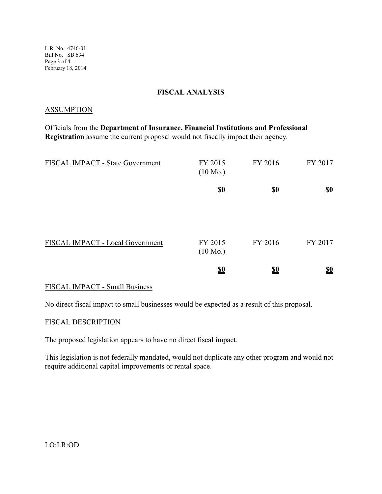L.R. No. 4746-01 Bill No. SB 634 Page 3 of 4 February 18, 2014

### **FISCAL ANALYSIS**

#### ASSUMPTION

Officials from the **Department of Insurance, Financial Institutions and Professional Registration** assume the current proposal would not fiscally impact their agency.

| FISCAL IMPACT - State Government | FY 2015<br>$(10 \text{ Mo.})$ | FY 2016                       | FY 2017                       |
|----------------------------------|-------------------------------|-------------------------------|-------------------------------|
|                                  | $\underline{\underline{\$0}}$ | $\underline{\underline{\$0}}$ | $\underline{\underline{\$0}}$ |
| FISCAL IMPACT - Local Government | FY 2015<br>$(10 \text{ Mo.})$ | FY 2016                       | FY 2017                       |
|                                  | $\underline{\underline{\$0}}$ | <u>\$0</u>                    | $\underline{\underline{\$0}}$ |

### FISCAL IMPACT - Small Business

No direct fiscal impact to small businesses would be expected as a result of this proposal.

#### FISCAL DESCRIPTION

The proposed legislation appears to have no direct fiscal impact.

This legislation is not federally mandated, would not duplicate any other program and would not require additional capital improvements or rental space.